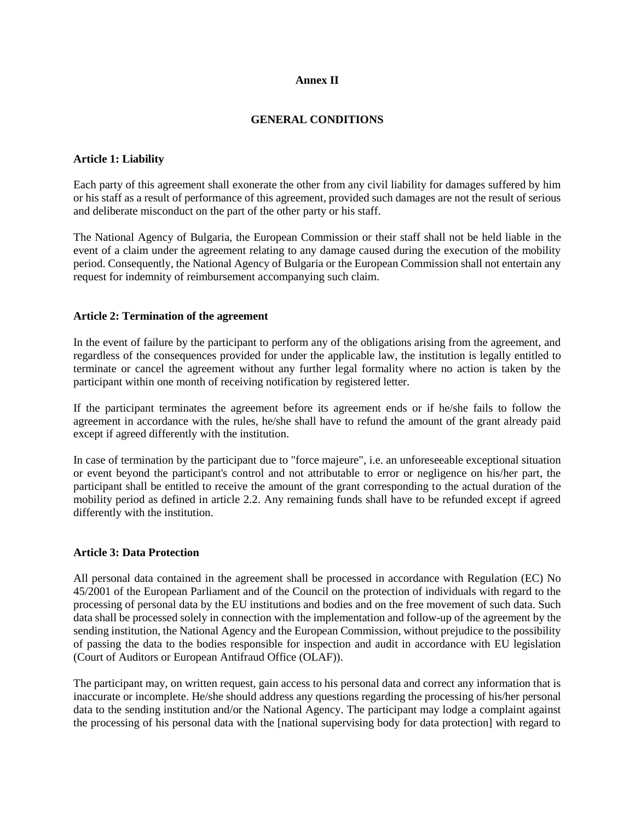## **Annex II**

# **GENERAL CONDITIONS**

### **Article 1: Liability**

Each party of this agreement shall exonerate the other from any civil liability for damages suffered by him or his staff as a result of performance of this agreement, provided such damages are not the result of serious and deliberate misconduct on the part of the other party or his staff.

The National Agency of Bulgaria, the European Commission or their staff shall not be held liable in the event of a claim under the agreement relating to any damage caused during the execution of the mobility period. Consequently, the National Agency of Bulgaria or the European Commission shall not entertain any request for indemnity of reimbursement accompanying such claim.

### **Article 2: Termination of the agreement**

In the event of failure by the participant to perform any of the obligations arising from the agreement, and regardless of the consequences provided for under the applicable law, the institution is legally entitled to terminate or cancel the agreement without any further legal formality where no action is taken by the participant within one month of receiving notification by registered letter.

If the participant terminates the agreement before its agreement ends or if he/she fails to follow the agreement in accordance with the rules, he/she shall have to refund the amount of the grant already paid except if agreed differently with the institution.

In case of termination by the participant due to "force majeure", i.e. an unforeseeable exceptional situation or event beyond the participant's control and not attributable to error or negligence on his/her part, the participant shall be entitled to receive the amount of the grant corresponding to the actual duration of the mobility period as defined in article 2.2. Any remaining funds shall have to be refunded except if agreed differently with the institution.

#### **Article 3: Data Protection**

All personal data contained in the agreement shall be processed in accordance with Regulation (EC) No 45/2001 of the European Parliament and of the Council on the protection of individuals with regard to the processing of personal data by the EU institutions and bodies and on the free movement of such data. Such data shall be processed solely in connection with the implementation and follow-up of the agreement by the sending institution, the National Agency and the European Commission, without prejudice to the possibility of passing the data to the bodies responsible for inspection and audit in accordance with EU legislation (Court of Auditors or European Antifraud Office (OLAF)).

The participant may, on written request, gain access to his personal data and correct any information that is inaccurate or incomplete. He/she should address any questions regarding the processing of his/her personal data to the sending institution and/or the National Agency. The participant may lodge a complaint against the processing of his personal data with the [national supervising body for data protection] with regard to